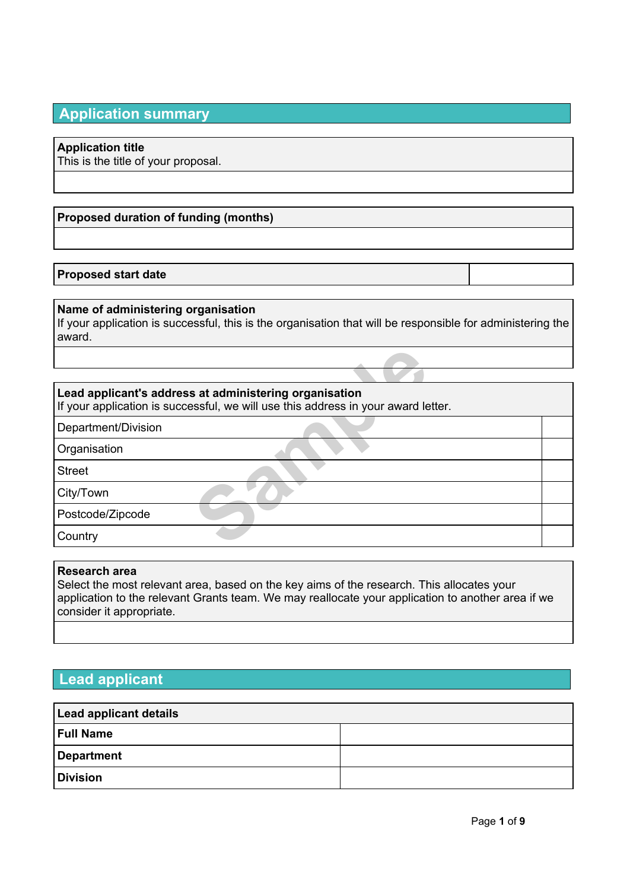# **Application summary**

# **Application title**

This is the title of your proposal.

# **Proposed duration of funding (months)**

# **Proposed start date**

#### **Name of administering organisation**

If your application is successful, this is the organisation that will be responsible for administering the award.

## **Lead applicant's address at administering organisation**

**Sample Standard Standard Standard Standard Standard Standard Standard Standard Standard Standard Standard Standard Standard Standard Standard Standard Standard Standard Standard Standard Standard Standard Standard Standar** If your application is successful, we will use this address in your award letter.

Department/Division

**Organisation** 

Street

City/Town

Postcode/Zipcode

**Country** 

#### **Research area**

Select the most relevant area, based on the key aims of the research. This allocates your application to the relevant Grants team. We may reallocate your application to another area if we consider it appropriate.

# **Lead applicant**

| <b>Lead applicant details</b> |  |  |  |  |
|-------------------------------|--|--|--|--|
| <b>Full Name</b>              |  |  |  |  |
| Department                    |  |  |  |  |
| <b>Division</b>               |  |  |  |  |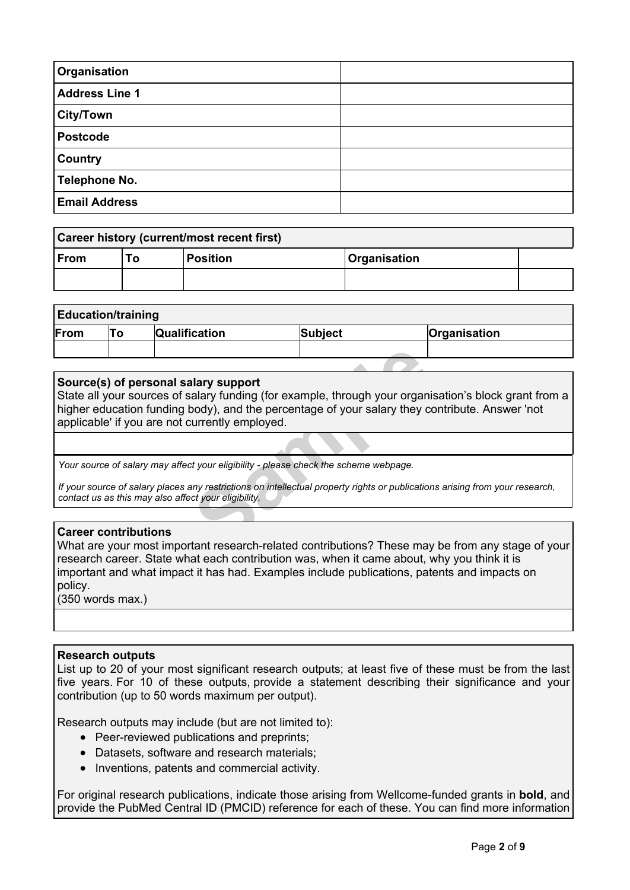| Organisation          |  |
|-----------------------|--|
| <b>Address Line 1</b> |  |
| ∫City/Town            |  |
| <b>Postcode</b>       |  |
| Country               |  |
| <b>Telephone No.</b>  |  |
| <b>Email Address</b>  |  |

| Career history (current/most recent first) |     |                 |                            |  |
|--------------------------------------------|-----|-----------------|----------------------------|--|
| ∣From                                      | To: | <b>Position</b> | <i><b>Organisation</b></i> |  |
|                                            |     |                 |                            |  |

# **Education/training**

| .    |                      |         |              |
|------|----------------------|---------|--------------|
| From | <b>Qualification</b> | Subject | Organisation |
|      |                      |         |              |

## **Source(s) of personal salary support**

**Example 19 Individing** (for example, through your organ<br>
sody), and the percentage of your salary they currently employed.<br>
Sample 19 Individual property rights or publication<br>
the structure eligibility.<br>
The search-relat State all your sources of salary funding (for example, through your organisation's block grant from a higher education funding body), and the percentage of your salary they contribute. Answer 'not applicable' if you are not currently employed.

*Your source of salary may affect your eligibility - please check the scheme webpage.*

If your source of salary places any restrictions on intellectual property rights or publications arising from your research, *contact us as this may also affect your eligibility.*

#### **Career contributions**

What are your most important research-related contributions? These may be from any stage of your research career. State what each contribution was, when it came about, why you think it is important and what impact it has had. Examples include publications, patents and impacts on policy.

(350 words max.)

#### **Research outputs**

List up to 20 of your most significant research outputs; at least five of these must be from the last five years. For 10 of these outputs, provide a statement describing their significance and your contribution (up to 50 words maximum per output).

Research outputs may include (but are not limited to):

- Peer-reviewed publications and preprints;
- Datasets, software and research materials;
- Inventions, patents and commercial activity.

For original research publications, indicate those arising from Wellcome-funded grants in **bold**, and provide the PubMed Central ID (PMCID) reference for each of these. You can find more information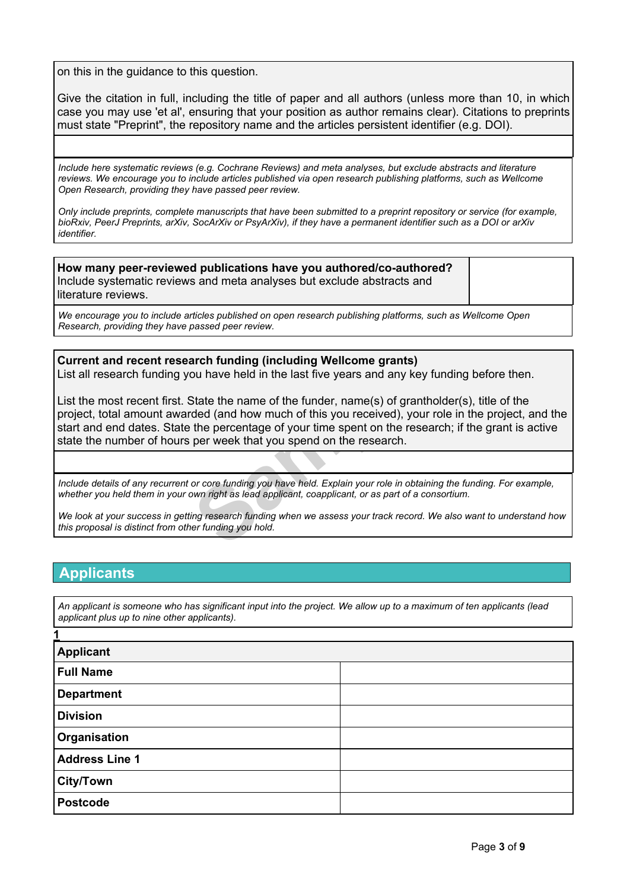on this in the guidance to this question.

Give the citation in full, including the title of paper and all authors (unless more than 10, in which case you may use 'et al', ensuring that your position as author remains clear). Citations to preprints must state "Preprint", the repository name and the articles persistent identifier (e.g. DOI).

*Include here systematic reviews (e.g. Cochrane Reviews) and meta analyses, but exclude abstracts and literature reviews. We encourage you to include articles published via open research publishing platforms, such as Wellcome Open Research, providing they have passed peer review.*

Only include preprints, complete manuscripts that have been submitted to a preprint repository or service (for example, bioRxiv, PeerJ Preprints, arXiv, SocArXiv or PsyArXiv), if they have a permanent identifier such as a DOI or arXiv *identifier.*

**How many peer-reviewed publications have you authored/co-authored?** Include systematic reviews and meta analyses but exclude abstracts and literature reviews.

*We encourage you to include articles published on open research publishing platforms, such as Wellcome Open Research, providing they have passed peer review.*

#### **Current and recent research funding (including Wellcome grants)**

List all research funding you have held in the last five years and any key funding before then.

arch funding (including Wellcome grants)<br>bu have held in the last five years and any key<br>State the name of the funder, name(s) of granth<br>ded (and how much of this you received), your<br>the percentage of your time spent on th List the most recent first. State the name of the funder, name(s) of grantholder(s), title of the project, total amount awarded (and how much of this you received), your role in the project, and the start and end dates. State the percentage of your time spent on the research; if the grant is active state the number of hours per week that you spend on the research.

Include details of any recurrent or core funding you have held. Explain your role in obtaining the funding. For example, whether you held them in your own right as lead applicant, coapplicant, or as part of a consortium.

We look at vour success in getting research funding when we assess your track record. We also want to understand how *this proposal is distinct from other funding you hold.*

# **Applicants**

An applicant is someone who has significant input into the project. We allow up to a maximum of ten applicants (lead *applicant plus up to nine other applicants).*

| 1                     |  |
|-----------------------|--|
| <b>Applicant</b>      |  |
| <b>Full Name</b>      |  |
| <b>Department</b>     |  |
| <b>Division</b>       |  |
| Organisation          |  |
| <b>Address Line 1</b> |  |
| <b>City/Town</b>      |  |
| <b>Postcode</b>       |  |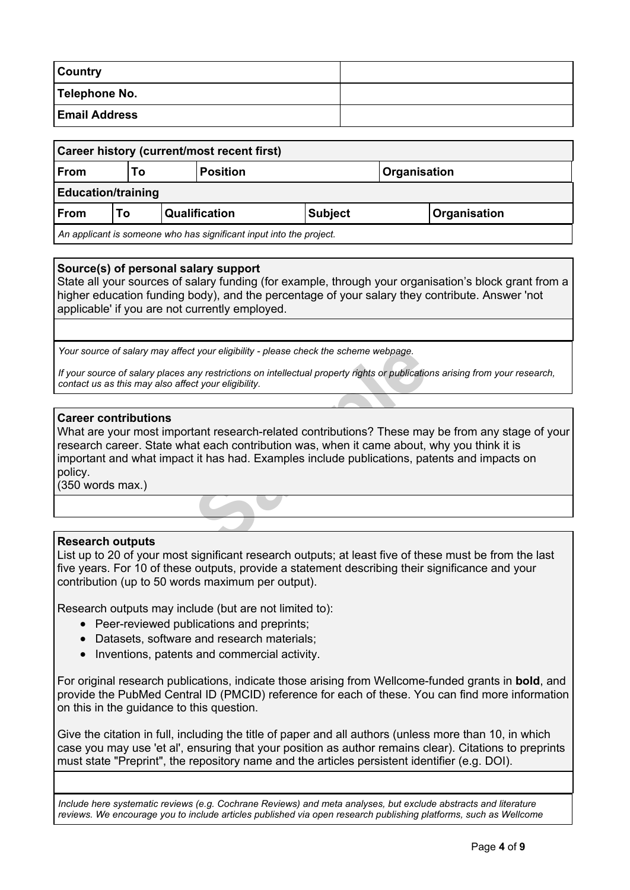| Country              |  |
|----------------------|--|
| Telephone No.        |  |
| <b>Email Address</b> |  |

| Career history (current/most recent first)                          |                                              |  |                                        |              |  |  |
|---------------------------------------------------------------------|----------------------------------------------|--|----------------------------------------|--------------|--|--|
| From                                                                | Т٥                                           |  | <b>Position</b><br><b>Organisation</b> |              |  |  |
| <b>Education/training</b>                                           |                                              |  |                                        |              |  |  |
| ∣From                                                               | <b>Qualification</b><br><b>Subject</b><br>Τo |  |                                        | Organisation |  |  |
| An applicant is someone who has significant input into the project. |                                              |  |                                        |              |  |  |

## **Source(s) of personal salary support**

State all your sources of salary funding (for example, through your organisation's block grant from a higher education funding body), and the percentage of your salary they contribute. Answer 'not applicable' if you are not currently employed.

*Your source of salary may affect your eligibility - please check the scheme webpage.*

If your source of salary places any restrictions on intellectual property rights or publications arising from your research, *contact us as this may also affect your eligibility.*

#### **Career contributions**

or eligibility - please check the scheme webpage.<br>
Samples restrictions on intellectual property rights or publication<br>
or your eligibility.<br> **Samples** includes the scheme about, it it has had. Examples include publication What are your most important research-related contributions? These may be from any stage of your research career. State what each contribution was, when it came about, why you think it is important and what impact it has had. Examples include publications, patents and impacts on policy.

(350 words max.)

#### **Research outputs**

List up to 20 of your most significant research outputs; at least five of these must be from the last five years. For 10 of these outputs, provide a statement describing their significance and your contribution (up to 50 words maximum per output).

Research outputs may include (but are not limited to):

- Peer-reviewed publications and preprints;
- Datasets, software and research materials;
- Inventions, patents and commercial activity.

For original research publications, indicate those arising from Wellcome-funded grants in **bold**, and provide the PubMed Central ID (PMCID) reference for each of these. You can find more information on this in the guidance to this question.

Give the citation in full, including the title of paper and all authors (unless more than 10, in which case you may use 'et al', ensuring that your position as author remains clear). Citations to preprints must state "Preprint", the repository name and the articles persistent identifier (e.g. DOI).

*Include here systematic reviews (e.g. Cochrane Reviews) and meta analyses, but exclude abstracts and literature reviews. We encourage you to include articles published via open research publishing platforms, such as Wellcome*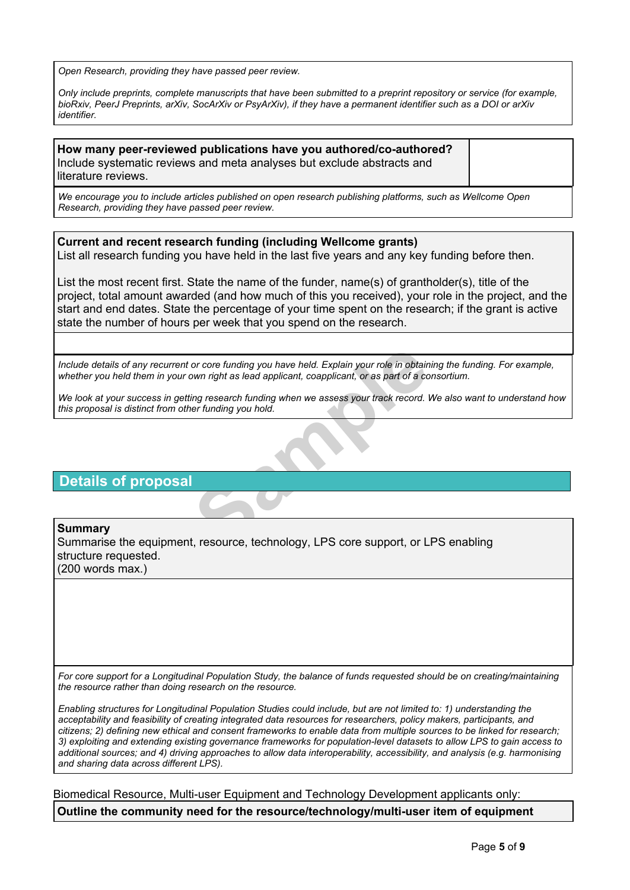*Open Research, providing they have passed peer review.*

Only include preprints, complete manuscripts that have been submitted to a preprint repository or service (for example, bioRxiv, PeerJ Preprints, arXiv, SocArXiv or PsyArXiv), if they have a permanent identifier such as a DOI or arXiv *identifier.*

**How many peer-reviewed publications have you authored/co-authored?** Include systematic reviews and meta analyses but exclude abstracts and literature reviews.

*We encourage you to include articles published on open research publishing platforms, such as Wellcome Open Research, providing they have passed peer review.*

**Current and recent research funding (including Wellcome grants)** List all research funding you have held in the last five years and any key funding before then.

List the most recent first. State the name of the funder, name(s) of grantholder(s), title of the project, total amount awarded (and how much of this you received), your role in the project, and the start and end dates. State the percentage of your time spent on the research; if the grant is active state the number of hours per week that you spend on the research.

or core funding you have held. Explain your role in obtain<br>bwn right as lead applicant, coapplicant, or as part of a co<br>ing research funding when we assess your track record. I<br>er funding you hold.<br>**Sample 1997-1998**<br>Sampl Include details of any recurrent or core funding you have held. Explain your role in obtaining the funding. For example, whether you held them in your own right as lead applicant, coapplicant, or as part of a consortium.

We look at your success in getting research funding when we assess your track record. We also want to understand how *this proposal is distinct from other funding you hold.*

# **Details of proposal**

#### **Summary**

Summarise the equipment, resource, technology, LPS core support, or LPS enabling structure requested. (200 words max.)

For core support for a Longitudinal Population Study, the balance of funds requested should be on creating/maintaining *the resource rather than doing research on the resource.*

Enabling structures for Longitudinal Population Studies could include, but are not limited to: 1) understanding the *acceptability and feasibility of creating integrated data resources for researchers, policy makers, participants, and* citizens; 2) defining new ethical and consent frameworks to enable data from multiple sources to be linked for research; 3) exploiting and extending existing governance frameworks for population-level datasets to allow LPS to gain access to additional sources; and 4) driving approaches to allow data interoperability, accessibility, and analysis (e.g. harmonising *and sharing data across different LPS).*

Biomedical Resource, Multi-user Equipment and Technology Development applicants only: **Outline the community need for the resource/technology/multi-user item of equipment**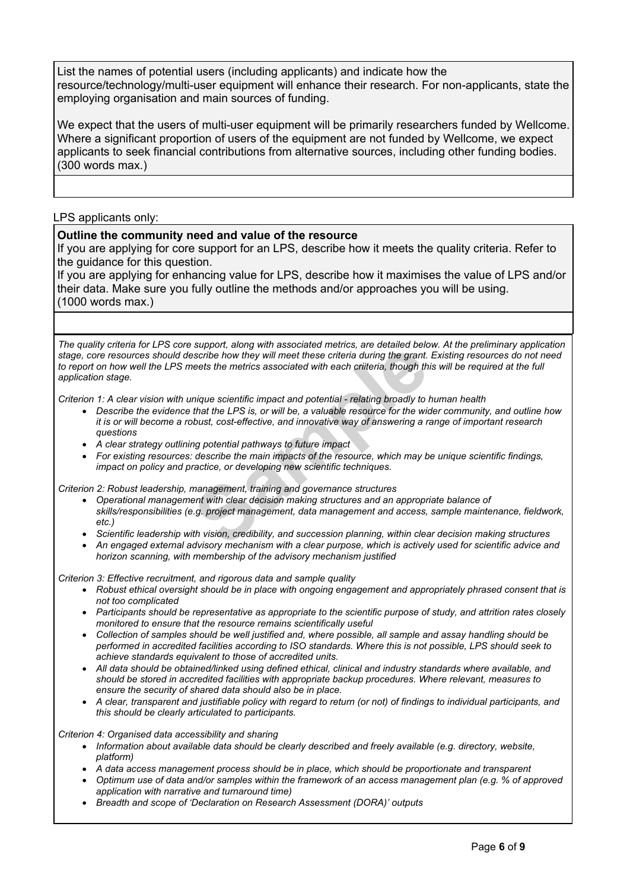List the names of potential users (including applicants) and indicate how the resource/technology/multi-user equipment will enhance their research. For non-applicants, state the employing organisation and main sources of funding.

We expect that the users of multi-user equipment will be primarily researchers funded by Wellcome. Where a significant proportion of users of the equipment are not funded by Wellcome, we expect applicants to seek financial contributions from alternative sources, including other funding bodies. (300 words max.)

LPS applicants only:

## **Outline the community need and value of the resource**

If you are applying for core support for an LPS, describe how it meets the quality criteria. Refer to the guidance for this question.

If you are applying for enhancing value for LPS, describe how it maximises the value of LPS and/or their data. Make sure you fully outline the methods and/or approaches you will be using. (1000 words max.)

support, along with associated methes, are detailed beloscribe how they will meet these criteria during the grant.<br>Reets the metrics associated with each criteria, though the metrics associated with each criteria, though t The quality criteria for LPS core support, along with associated metrics, are detailed below. At the preliminary application stage, core resources should describe how they will meet these criteria during the grant. Existing resources do not need to report on how well the LPS meets the metrics associated with each criiteria, though this will be required at the full *application stage.*

Criterion 1: A clear vision with unique scientific impact and potential - relating broadly to human health

- Describe the evidence that the LPS is, or will be, a valuable resource for the wider community, and outline how it is or will become a robust, cost-effective, and innovative way of answering a range of important research *questions*
- *A clear strategy outlining potential pathways to future impact*
- *For existing resources: describe the main impacts of the resource, which may be unique scientific findings, impact on policy and practice, or developing new scientific techniques.*

*Criterion 2: Robust leadership, management, training and governance structures*

- *Operational management with clear decision making structures and an appropriate balance of skills/responsibilities (e.g. project management, data management and access, sample maintenance, fieldwork, etc.)*
- *Scientific leadership with vision, credibility, and succession planning, within clear decision making structures*
- An engaged external advisory mechanism with a clear purpose, which is actively used for scientific advice and *horizon scanning, with membership of the advisory mechanism justified*

*Criterion 3: Effective recruitment, and rigorous data and sample quality*

- *Robust ethical oversight should be in place with ongoing engagement and appropriately phrased consent that is not too complicated*
- Participants should be representative as appropriate to the scientific purpose of study, and attrition rates closely *monitored to ensure that the resource remains scientifically useful*
- Collection of samples should be well justified and, where possible, all sample and assay handling should be performed in accredited facilities according to ISO standards. Where this is not possible, LPS should seek to *achieve standards equivalent to those of accredited units.*
- *All data should be obtained/linked using defined ethical, clinical and industry standards where available, and should be stored in accredited facilities with appropriate backup procedures. Where relevant, measures to ensure the security of shared data should also be in place.*
- A clear, transparent and justifiable policy with regard to return (or not) of findings to individual participants, and *this should be clearly articulated to participants.*

*Criterion 4: Organised data accessibility and sharing*

- *Information about available data should be clearly described and freely available (e.g. directory, website, platform)*
- *A data access management process should be in place, which should be proportionate and transparent*
- Optimum use of data and/or samples within the framework of an access management plan (e.g. % of approved *application with narrative and turnaround time)*
- *Breadth and scope of 'Declaration on Research Assessment (DORA)' outputs*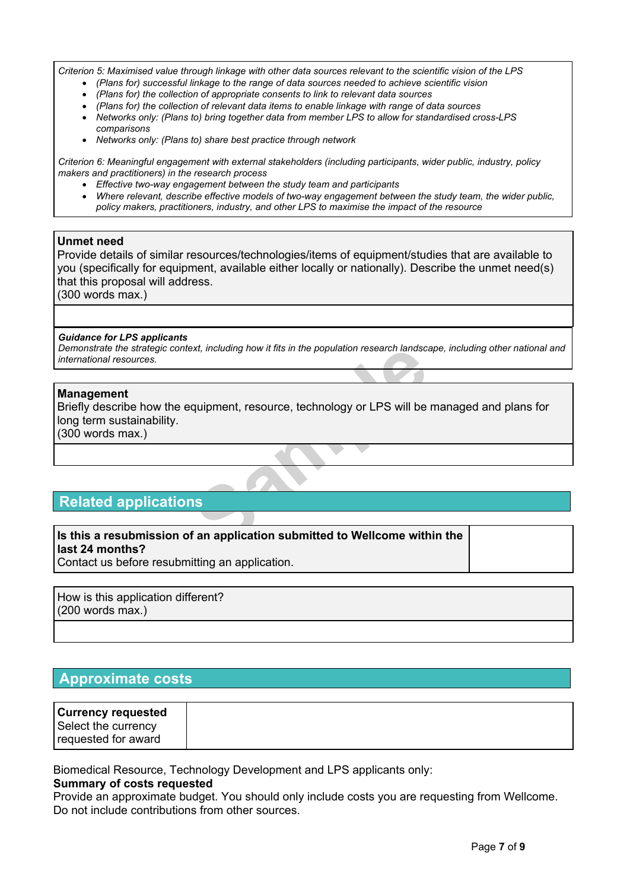Criterion 5: Maximised value through linkage with other data sources relevant to the scientific vision of the LPS

- *(Plans for) successful linkage to the range of data sources needed to achieve scientific vision*
- *(Plans for) the collection of appropriate consents to link to relevant data sources*
- *(Plans for) the collection of relevant data items to enable linkage with range of data sources*
- *Networks only: (Plans to) bring together data from member LPS to allow for standardised cross-LPS comparisons*
- *Networks only: (Plans to) share best practice through network*

*Criterion 6: Meaningful engagement with external stakeholders (including participants, wider public, industry, policy makers and practitioners) in the research process*

- *Effective two-way engagement between the study team and participants*
- *Where relevant, describe effective models of two-way engagement between the study team, the wider public, policy makers, practitioners, industry, and other LPS to maximise the impact of the resource*

## **Unmet need**

Provide details of similar resources/technologies/items of equipment/studies that are available to you (specifically for equipment, available either locally or nationally). Describe the unmet need(s) that this proposal will address.

(300 words max.)

#### *Guidance for LPS applicants*

Demonstrate the strategic context, including how it fits in the population research landscape, including other national and *international resources.*

## **Management**

ext, including how it fits in the population research landscale.<br> **Sample 19 and 19 and 19 and 19 and 19 and 19 and 19 and 19 and 19 and 19 and 19 and 19 and 19 and 19 and 19 and 19 and 19 and 19 and 19 and 19 and 19 and 1** Briefly describe how the equipment, resource, technology or LPS will be managed and plans for long term sustainability.

(300 words max.)

# **Related applications**

# **Is this a resubmission of an application submitted to Wellcome within the last 24 months?**

Contact us before resubmitting an application.

How is this application different? (200 words max.)

# **Approximate costs**

| <b>Currency requested</b> |
|---------------------------|
| Select the currency       |
| requested for award       |

Biomedical Resource, Technology Development and LPS applicants only:

#### **Summary of costs requested**

Provide an approximate budget. You should only include costs you are requesting from Wellcome. Do not include contributions from other sources.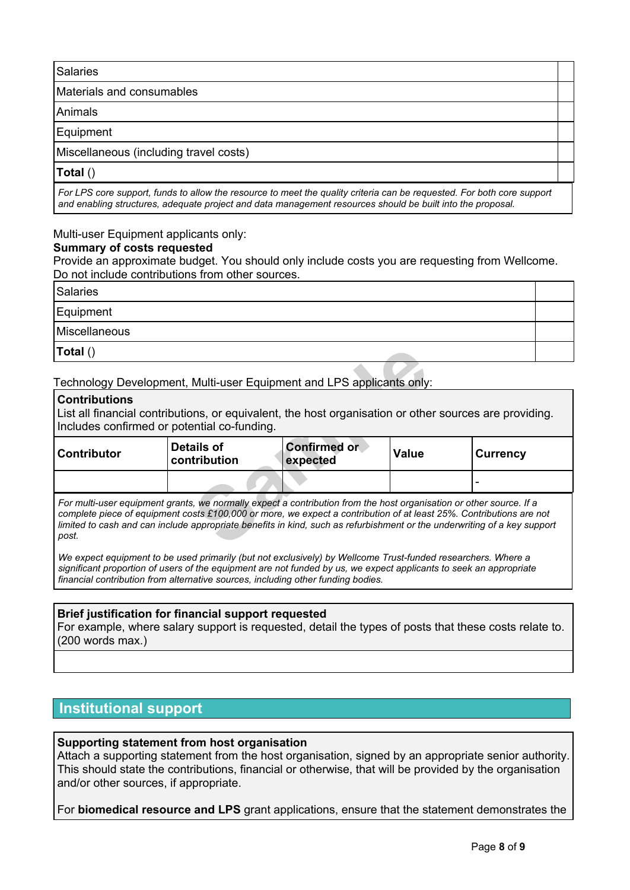# Salaries Materials and consumables Animals Equipment Miscellaneous (including travel costs) **Total** ()

For LPS core support, funds to allow the resource to meet the quality criteria can be requested. For both core support *and enabling structures, adequate project and data management resources should be built into the proposal.*

# Multi-user Equipment applicants only:

# **Summary of costs requested**

Provide an approximate budget. You should only include costs you are requesting from Wellcome. Do not include contributions from other sources.

| Salaries      |  |
|---------------|--|
| Equipment     |  |
| Miscellaneous |  |
| Total()       |  |

# **Contributions**

| Total()                                                                                                                                                                                                                                                                                                                                                                         |                            |                                 |       |                 |  |
|---------------------------------------------------------------------------------------------------------------------------------------------------------------------------------------------------------------------------------------------------------------------------------------------------------------------------------------------------------------------------------|----------------------------|---------------------------------|-------|-----------------|--|
| Technology Development, Multi-user Equipment and LPS applicants only:                                                                                                                                                                                                                                                                                                           |                            |                                 |       |                 |  |
| $ $ Contributions<br>List all financial contributions, or equivalent, the host organisation or other sources are providing.<br>Includes confirmed or potential co-funding.                                                                                                                                                                                                      |                            |                                 |       |                 |  |
| <b>Contributor</b>                                                                                                                                                                                                                                                                                                                                                              | Details of<br>contribution | <b>Confirmed or</b><br>expected | Value | <b>Currency</b> |  |
|                                                                                                                                                                                                                                                                                                                                                                                 |                            |                                 |       |                 |  |
| For multi-user equipment grants, we normally expect a contribution from the host organisation or other source. If a<br>complete piece of equipment costs £100,000 or more, we expect a contribution of at least 25%. Contributions are not<br>limited to cash and can include appropriate benefits in kind, such as refurbishment or the underwriting of a key support<br>post. |                            |                                 |       |                 |  |

*We expect equipment to be used primarily (but not exclusively) by Wellcome Trust-funded researchers. Where a* significant proportion of users of the equipment are not funded by us, we expect applicants to seek an appropriate *financial contribution from alternative sources, including other funding bodies.*

# **Brief justification for financial support requested**

For example, where salary support is requested, detail the types of posts that these costs relate to. (200 words max.)

# **Institutional support**

# **Supporting statement from host organisation**

Attach a supporting statement from the host organisation, signed by an appropriate senior authority. This should state the contributions, financial or otherwise, that will be provided by the organisation and/or other sources, if appropriate.

For **biomedical resource and LPS** grant applications, ensure that the statement demonstrates the